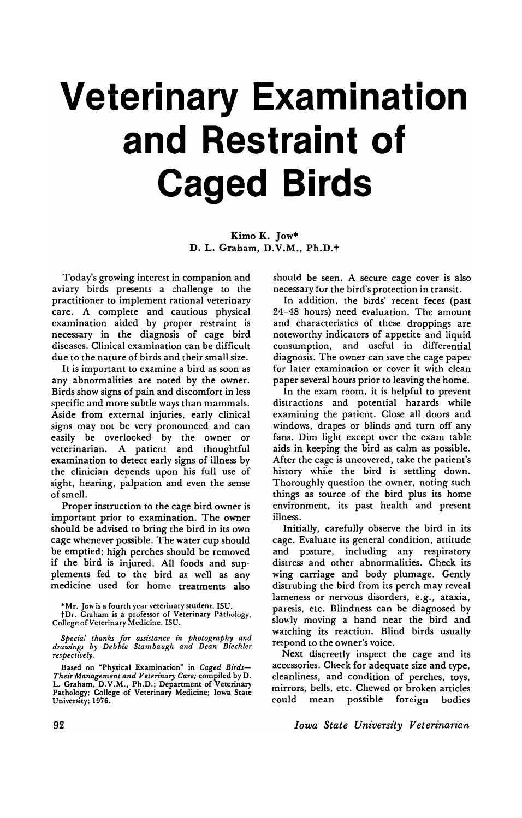# **Veterinary Examination and Restraint of Caged Birds**

Kimo K. Jow\* D. L. Graham, D.V.M., Ph.D.t

Today's growing interest in companion and aviary birds presents a challenge to the practitioner to implement rational veterinary care. A complete and cautious physical examination aided by proper restraint is necessary in the diagnosis of cage bird diseases. Clinical examination can be difficult due to the nature of birds and their small size.

It is important to examine a bird as soon as any abnormalities are noted by the owner. Birds show signs of pain and discomfort in less specific and more subtle ways than mammals. Aside from external injuries, early clinical signs may not be very pronounced and can easily be overlooked by the owner or veterinarian. A patient and thoughtful examination to detect early signs of illness by the clinician depends upon his full use of sight, hearing, palpation and even the sense of smell.

Proper instruction to the cage bird owner is important prior to examination. The owner should be advised to bring the bird in its own cage whenever possible. The water cup should be emptied; high perches should be removed if the bird is injured. All foods and supplements fed to the bird as well as any medicine used for home treatments also

·Mr. Jow is a fourth year veterinary student, ISU. tDr. Graham is a professor of Veterinary Pathology. College of Veterinary Medicine. ISU.

*SPecial thanks for assistance* in *photography and drawings by Debbie Stambaugh and Dean Biechler respectively.* 

Based on "Physical Examination" in *Caged Birds-Their Management and Veterinary Care;* compiled by D. L. Graham, D.V.M., Ph.D.; Department of Veterinary Pathology; College of Veterinary Medicine; Iowa State University; 1976.

should be seen. A secure cage cover is also necessary for the bird's protection in transit.

In addition, the birds' recent feces (past 24-48 hours) need evaluation. The amount and characteristics of these droppings are noteworthy indicators of appetite and liquid consumption, and useful in differential diagnosis. The owner can save the cage paper for later examination or cover it with clean paper several hours prior to leaving the home.

In the exam room, it is helpful to prevent distractions and potential hazards while examining the patient. Close all doors and windows, drapes or blinds and turn off any fans. Dim light except over the exam table aids in keeping the bird as calm as possible. After the cage is uncovered, take the patient's history while the bird is settling down. Thoroughly question the owner, noting such things as source of the bird plus its home environment, its past health and present illness.

Initially, carefully observe the bird in its cage. Evaluate its general condition, attitude and posture, including any respiratory distress and other abnormalities. Check its wing carriage and body plumage. Gently distrubing the bird from its perch may reveal lameness or nervous disorders, e.g., ataxia, paresis, etc. Blindness can be diagnosed by slowly moving a hand near the bird and watching its reaction. Blind birds usually respond to the owner's voice.

Next discreetly inspect the cage and its accessories. Check for adequate size and type, cleanliness, and condition of perches, toys, mirrors, bells, etc. Chewed or broken articles could mean possible foreign bodies

*Iowa State University Veterinarian*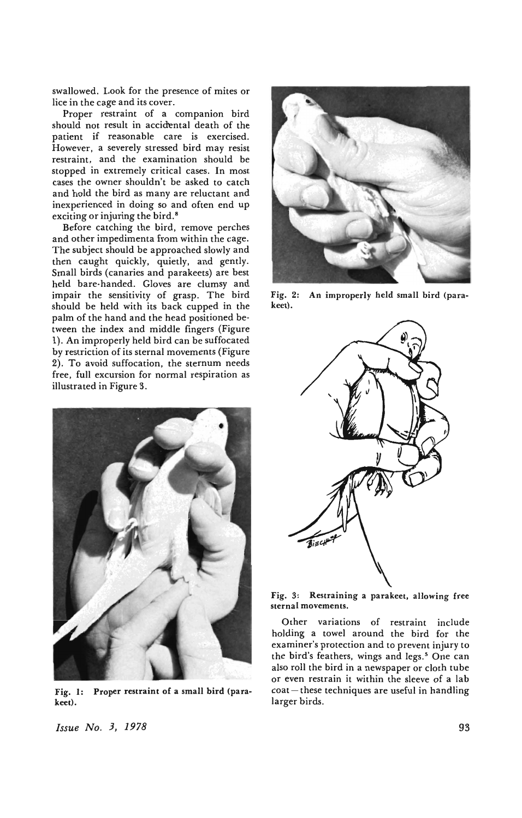swallowed. Look for the presence of mites or lice in the cage and its cover.

Proper restraint of a companion bird should not result in accidental death of the patient if reasonable care is exercised. However, a severely stressed bird may resist restraint, and the examination should be stopped in extremely critical cases. In most cases the owner shouldn't be asked to catch and hold the bird as many are reluctant and inexperienced in doing so and often end up exciting or injuring the bird.<sup>8</sup>

Before catching the bird, remove perches and other impedimenta from within the cage. The subject should be approached slowly and then caught quickly, quietly, and gently. Small birds (canaries and parakeets) are best held bare-handed. Gloves are clumsy and impair the sensitivity of grasp. The bird should be held with its back cupped in the palm of the hand and the head positioned between the index and middle fingers (Figure 1). An improperly held bird can be suffocated by restriction of its sternal movements (Figure 2). To avoid suffocation, the sternum needs free, full excursion for normal respiration as illustrated in Figure 3.



Fig. I: Proper restraint of a small bird (parakeet).

*Issue No.3, 1978* 



Fig. 2: An improperly held small bird (parakeet).



Fig. 3: Restraining a parakeet, allowing free sternal movements.

Other variations of restraint include holding a towel around the bird for the examiner's protection and to prevent injury to the bird's feathers, wings and legs.<sup>5</sup> One can also roll the bird in a newspaper or cloth tube or even restrain it within the sleeve of a lab  $\cot -$  these techniques are useful in handling larger birds.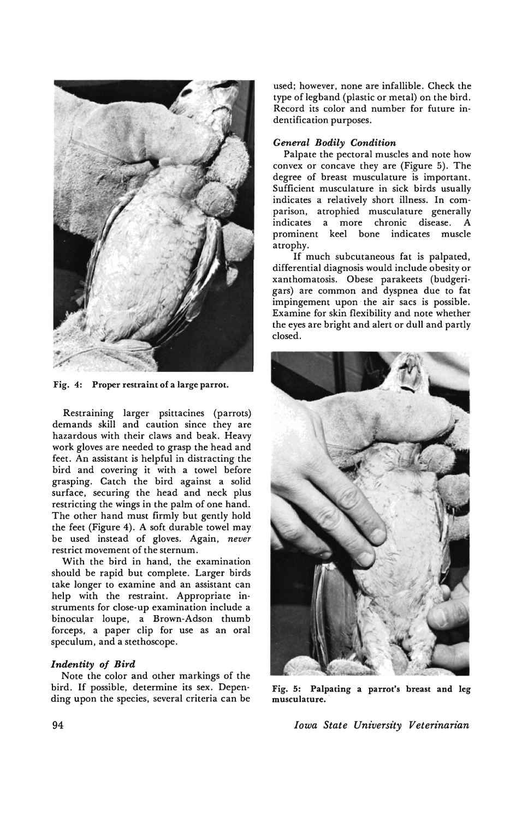

Fig. 4: Proper restraint of a large parrot.

Restraining larger psittacines (parrots) demands skill and caution since they are hazardous with their claws and beak. Heavy work gloves are needed to grasp the head and feet. An assistant is helpful in distracting the bird and covering it with a towel before grasping. Catch the bird against a solid surface. securing the head and neck plus restricting the wings in the palm of one hand. The other hand must firmly but gently hold the feet (Figure 4). A soft durable towel may be used instead of gloves. Again. *never*  restrict movement of the sternum.

With the bird in hand. the examination should be rapid but complete. Larger birds take longer to examine and an assistant can help with the restraint. Appropriate instruments for close-up examination include a binocular loupe. a Brown-Adson thumb forceps. a paper clip for use as an oral speculum. and a stethoscope.

# Indentity of Bird

Note the color and other markings of the bird. If possible. determine its sex. Depen· ding upon the species. several criteria can be

used; however. none are infallible. Check the type of legband (plastic or metal) on the bird. Record its color and number for future indentification purposes.

## *General Bodily Condition*

Palpate the pectoral muscles and note how convex or concave they are (Figure 5). The degree of breast musculature is important. Sufficient musculature in sick birds usually indicates a relatively short illness. In comparison. atrophied musculature generally indicates a more chronic disease . A prominent keel bone indicates muscle atrophy.

If much subcutaneous fat is palpated. differential diagnosis would include obesity or xanthomatosis. Obese parakeets (budgerigars) are common and dyspnea due to fat impingement upon the air sacs is possible. Examine for skin flexibility and note whether the eyes are bright and alert or dull and partly closed.



Fig. 5: Palpating a parrot's breast and leg musculature.

*Iowa State University Veterinarian*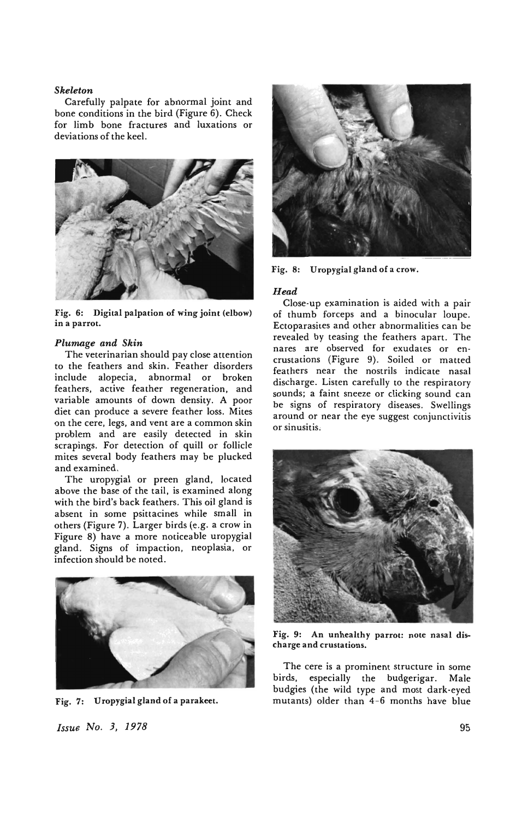## *Skeleton*

Carefully palpate for abnormal joint and bone conditions in the bird (Figure 6). Check for limb bone fractures and luxations or deviations of the keel.



Fig. 6: Digital palpation of wing joint (elbow) in a parrot.

### *Plumage and Skin*

The veterinarian should pay close attention to the feathers and skin. Feather disorders include alopecia, abnormal or broken feathers, active feather regeneration, and variable amounts of down density. A poor diet can produce a severe feather loss. Mites on the cere, legs, and vent are a common skin problem and are easily detected in skin scrapings. For detection of quill or follicle mites several body feathers may be plucked and examined.

The uropygial or preen gland, located above the base of the tail, is examined along with the bird's back feathers. This oil gland is absent in some psittacines while small in others (Figure 7). Larger birds (e.g. a crow in Figure 8) have a more noticeable uropygial gland. Signs of impaction, neoplasia, or infection should be noted.



Fig. 7: Uropygial gland of a parakeet.

*Issue No. 3, 1978* 



Fig. 8: Uropygial gland of a crow.

## *Head*

Close-up examination is aided with a pair of thumb forceps and a binocular loupe. Ectoparasites and other abnormalities can be revealed by teasing the feathers apart. The nares are observed for exudates or encrustations (Figure 9). Soiled or matted feathers near the nostrils indicate nasal discharge. Listen carefully to the respiratory sounds; a faint sneeze or clicking sound can be signs of respiratory diseases. Swellings around or near the eye suggest conjunctivitis or sinusitis.



Fig. 9: An unhealthy parrot: note nasal discharge and crustations\_

The cere is a prominent structure in some birds, especially the budgerigar. Male budgies (the wild type and most dark-eyed mutants) older than 4-6 months have blue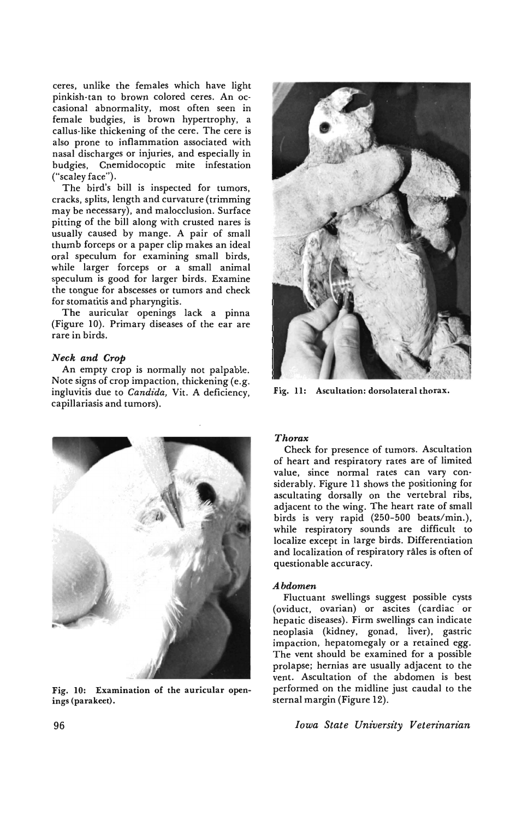ceres, unlike the females which have light pinkish-tan to brown colored ceres. An occasional abnormality, most often seen in female budgies, is brown hypertrophy, a callus-like thickening of the cere. The cere is also prone to inflammation associated with nasal discharges or injuries, and especially in budgies, Cnemidocoptic mite infestation ("sealey face").

The bird's bill is inspected for tumors, cracks, splits, length and curvature (trimming may be necessary), and malocclusion. Surface pitting of the bill along with crusted nares is usually caused by mange. A pair of small thumb forceps or a paper clip makes an ideal oral speculum for examining small birds, while larger forceps or a small animal speculum is good for larger birds. Examine the tongue for abscesses or tumors and check for stomatitis and pharyngitis.

The auricular openings lack a pinna (Figure 10). Primary diseases of the ear are rare in birds.

# *Neck and Crop*

An empty crop is normally not palpable. Note signs of crop impaction, thickening (e.g. ingluvitis due to *Candida,* Vit. A deficiency, capillariasis and tumors).



Fig. 10: Examination of the auricular openings (parakeet).



Fig. **11:** Ascultation: dorsolateral thorax.

# *Thorax*

Check for presence of tumors. Ascultation of heart and respiratory rates are of limited value, since normal rates can vary considerably. Figure II shows the positioning for ascultating dorsally on the vertebral ribs, adjacent to the wing. The heart rate of small birds is very rapid (250-500 beats/min.), while respiratory sounds are difficult to localize except in large birds. Differentiation and localization of respiratory rales is often of questionable accuracy.

## *Abdomen*

Fluctuant swellings suggest possible cysts (oviduct, ovarian) or ascites (cardiac or hepatic diseases). Firm swellings can indicate neoplasia (kidney, gonad, liver), gastric impaction, hepatomegaly or a retained egg. The vent should be examined for a possible prolapse; hernias are usually adjacent to the vent. Ascultation of the abdomen is best performed on the midline just caudal to the sternal margin (Figure 12).

*Iowa State University Veterinarian*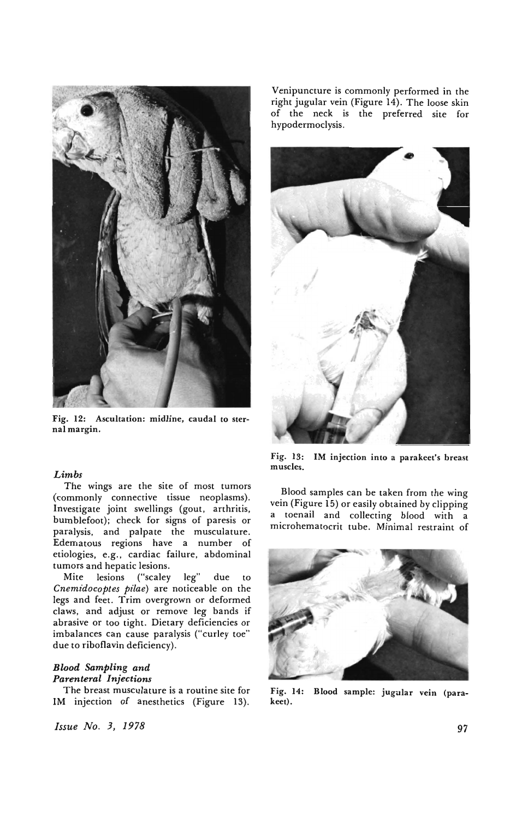

Fig. 12: Ascultation: midline, caudal to sternal margin.

# *Limbs*

The wings are the site of most tumors (commonly connective tissue neoplasms). Investigate joint swellings (gout. arthritis. bumblefoot); check for signs of paresis or paralysis. and palpate the musculature. Edematous regions have a number of etiologies. e.g. , cardiac failure. abdominal tumors and hepatic lesions.

Mite lesions ("sealey leg" due to *Cnemidocoptes pilae)* are noticeable on the legs and feet. Trim overgrown or deformed claws. and adjust or remove leg bands if abrasive or too tight. Dietary deficiencies or imbalances can cause paralysis ("curley toe" due to riboflavin deficiency).

# *Blood Sampling and Parenteral Injections*

The breast musculature is a routine site for 1M injection of anesthetics (Figure 13).

*Issue No.3, 1978* 

Venipuncture is commonly performed in the right jugular vein (Figure 14). The loose skin of the neck is the preferred site for hypodermoclysis.



Fig. 13: 1M injection into a parakeet's breast muscles.

Blood samples can be taken from the wing vein (Figure IS) or easily obtained by clipping a toenail and collecting blood with a microhematocrit tube. Minimal restraint of



Fig. 14: Blood sample: jugular vein (parakeet).